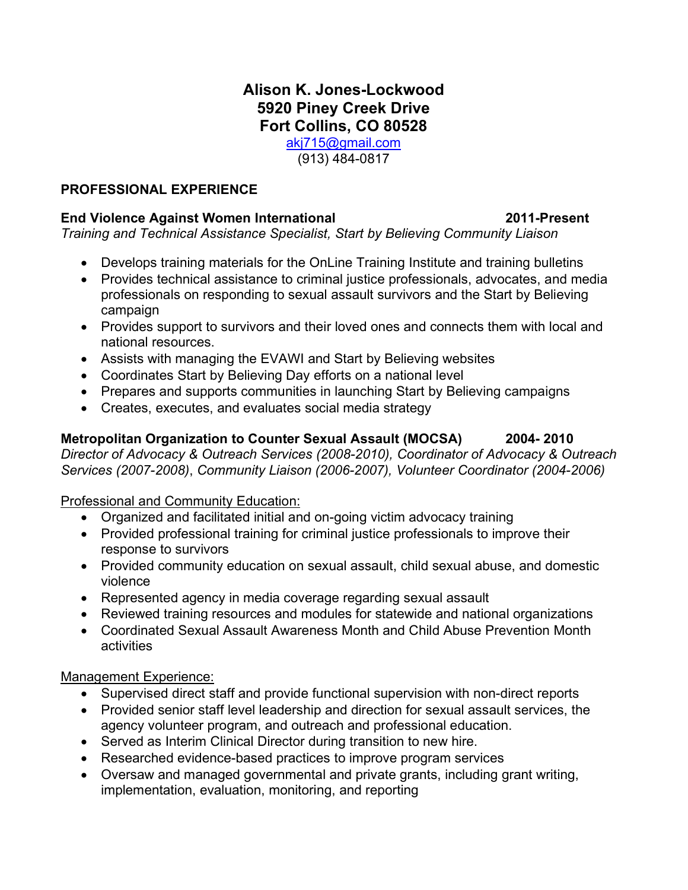### **Alison K. Jones-Lockwood 5920 Piney Creek Drive Fort Collins, CO 80528** [akj715@gmail.com](mailto:akj715@gmail.com)

(913) 484-0817

### **PROFESSIONAL EXPERIENCE**

### **End Violence Against Women International 2011-Present**

*Training and Technical Assistance Specialist, Start by Believing Community Liaison*

- Develops training materials for the OnLine Training Institute and training bulletins
- Provides technical assistance to criminal justice professionals, advocates, and media professionals on responding to sexual assault survivors and the Start by Believing campaign
- Provides support to survivors and their loved ones and connects them with local and national resources.
- Assists with managing the EVAWI and Start by Believing websites
- Coordinates Start by Believing Day efforts on a national level
- Prepares and supports communities in launching Start by Believing campaigns
- Creates, executes, and evaluates social media strategy

### **Metropolitan Organization to Counter Sexual Assault (MOCSA) 2004- 2010**

*Director of Advocacy & Outreach Services (2008-2010), Coordinator of Advocacy & Outreach Services (2007-2008)*, *Community Liaison (2006-2007), Volunteer Coordinator (2004-2006)*

#### Professional and Community Education:

- Organized and facilitated initial and on-going victim advocacy training
- Provided professional training for criminal justice professionals to improve their response to survivors
- Provided community education on sexual assault, child sexual abuse, and domestic violence
- Represented agency in media coverage regarding sexual assault
- Reviewed training resources and modules for statewide and national organizations
- Coordinated Sexual Assault Awareness Month and Child Abuse Prevention Month activities

#### Management Experience:

- Supervised direct staff and provide functional supervision with non-direct reports
- Provided senior staff level leadership and direction for sexual assault services, the agency volunteer program, and outreach and professional education.
- Served as Interim Clinical Director during transition to new hire.
- Researched evidence-based practices to improve program services
- Oversaw and managed governmental and private grants, including grant writing, implementation, evaluation, monitoring, and reporting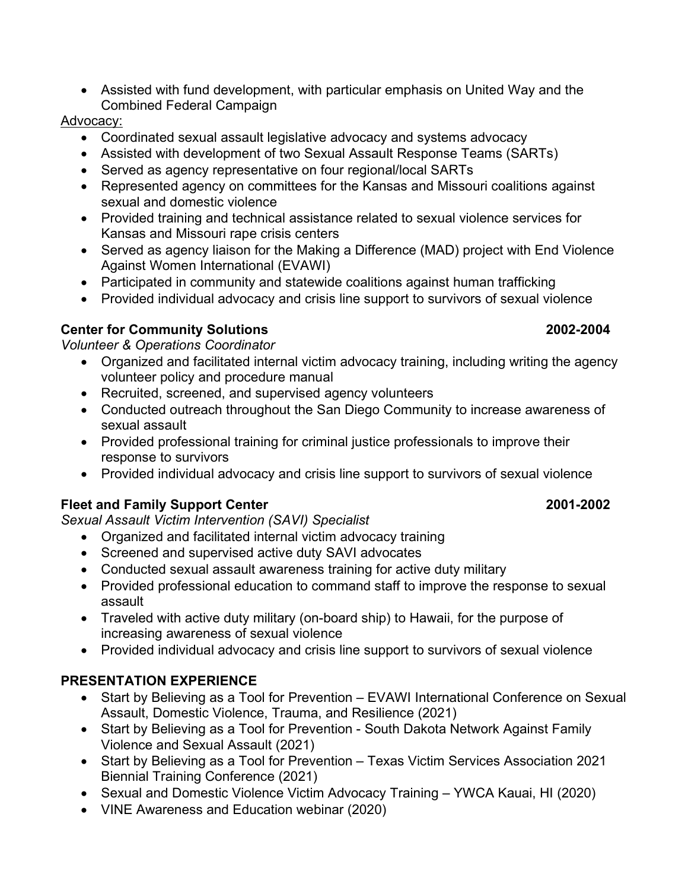• Assisted with fund development, with particular emphasis on United Way and the Combined Federal Campaign

### Advocacy:

- Coordinated sexual assault legislative advocacy and systems advocacy
- Assisted with development of two Sexual Assault Response Teams (SARTs)
- Served as agency representative on four regional/local SARTs
- Represented agency on committees for the Kansas and Missouri coalitions against sexual and domestic violence
- Provided training and technical assistance related to sexual violence services for Kansas and Missouri rape crisis centers
- Served as agency liaison for the Making a Difference (MAD) project with End Violence Against Women International (EVAWI)
- Participated in community and statewide coalitions against human trafficking
- Provided individual advocacy and crisis line support to survivors of sexual violence

# **Center for Community Solutions 2002-2004**

*Volunteer & Operations Coordinator*

- Organized and facilitated internal victim advocacy training, including writing the agency volunteer policy and procedure manual
- Recruited, screened, and supervised agency volunteers
- Conducted outreach throughout the San Diego Community to increase awareness of sexual assault
- Provided professional training for criminal justice professionals to improve their response to survivors
- Provided individual advocacy and crisis line support to survivors of sexual violence

# **Fleet and Family Support Center 2001-2002**

*Sexual Assault Victim Intervention (SAVI) Specialist*

- Organized and facilitated internal victim advocacy training
- Screened and supervised active duty SAVI advocates
- Conducted sexual assault awareness training for active duty military
- Provided professional education to command staff to improve the response to sexual assault
- Traveled with active duty military (on-board ship) to Hawaii, for the purpose of increasing awareness of sexual violence
- Provided individual advocacy and crisis line support to survivors of sexual violence

# **PRESENTATION EXPERIENCE**

- Start by Believing as a Tool for Prevention EVAWI International Conference on Sexual Assault, Domestic Violence, Trauma, and Resilience (2021)
- Start by Believing as a Tool for Prevention South Dakota Network Against Family Violence and Sexual Assault (2021)
- Start by Believing as a Tool for Prevention Texas Victim Services Association 2021 Biennial Training Conference (2021)
- Sexual and Domestic Violence Victim Advocacy Training YWCA Kauai, HI (2020)
- VINE Awareness and Education webinar (2020)